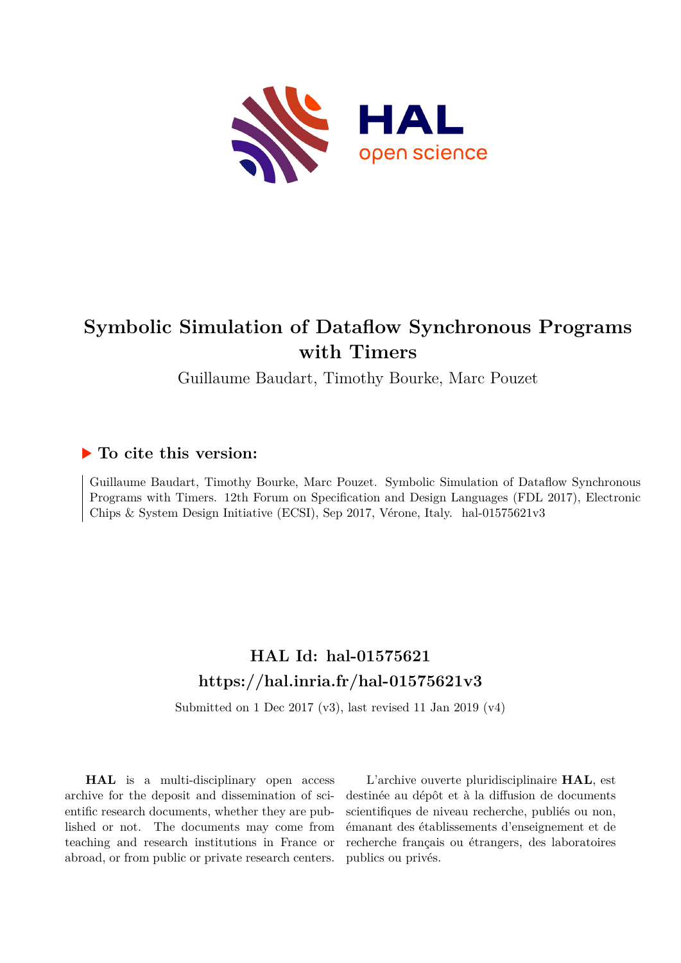

## **Symbolic Simulation of Dataflow Synchronous Programs with Timers**

Guillaume Baudart, Timothy Bourke, Marc Pouzet

### **To cite this version:**

Guillaume Baudart, Timothy Bourke, Marc Pouzet. Symbolic Simulation of Dataflow Synchronous Programs with Timers. 12th Forum on Specification and Design Languages (FDL 2017), Electronic Chips & System Design Initiative (ECSI), Sep 2017, Vérone, Italy. hal-01575621v3

## **HAL Id: hal-01575621 <https://hal.inria.fr/hal-01575621v3>**

Submitted on 1 Dec 2017 (v3), last revised 11 Jan 2019 (v4)

**HAL** is a multi-disciplinary open access archive for the deposit and dissemination of scientific research documents, whether they are published or not. The documents may come from teaching and research institutions in France or abroad, or from public or private research centers.

L'archive ouverte pluridisciplinaire **HAL**, est destinée au dépôt et à la diffusion de documents scientifiques de niveau recherche, publiés ou non, émanant des établissements d'enseignement et de recherche français ou étrangers, des laboratoires publics ou privés.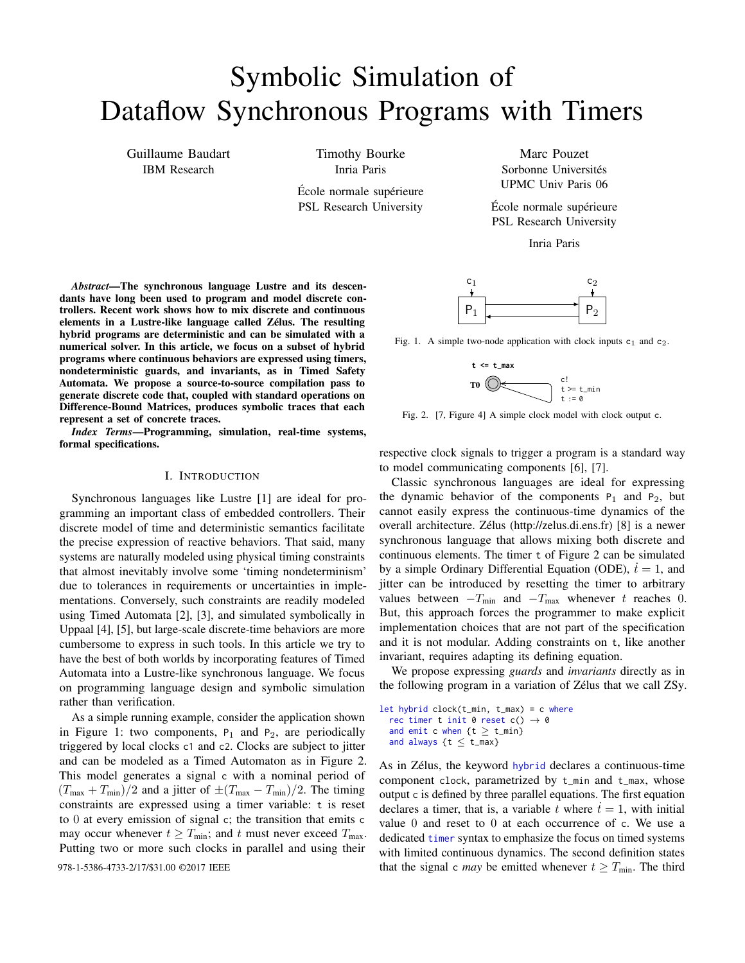# Symbolic Simulation of Dataflow Synchronous Programs with Timers

Guillaume Baudart IBM Research

Timothy Bourke Inria Paris

École normale supérieure PSL Research University

*Abstract*—The synchronous language Lustre and its descendants have long been used to program and model discrete controllers. Recent work shows how to mix discrete and continuous elements in a Lustre-like language called Zélus. The resulting hybrid programs are deterministic and can be simulated with a numerical solver. In this article, we focus on a subset of hybrid programs where continuous behaviors are expressed using timers, nondeterministic guards, and invariants, as in Timed Safety Automata. We propose a source-to-source compilation pass to generate discrete code that, coupled with standard operations on Difference-Bound Matrices, produces symbolic traces that each represent a set of concrete traces.

*Index Terms*—Programming, simulation, real-time systems, formal specifications.

#### I. INTRODUCTION

Synchronous languages like Lustre [1] are ideal for programming an important class of embedded controllers. Their discrete model of time and deterministic semantics facilitate the precise expression of reactive behaviors. That said, many systems are naturally modeled using physical timing constraints that almost inevitably involve some 'timing nondeterminism' due to tolerances in requirements or uncertainties in implementations. Conversely, such constraints are readily modeled using Timed Automata [2], [3], and simulated symbolically in Uppaal [4], [5], but large-scale discrete-time behaviors are more cumbersome to express in such tools. In this article we try to have the best of both worlds by incorporating features of Timed Automata into a Lustre-like synchronous language. We focus on programming language design and symbolic simulation rather than verification.

As a simple running example, consider the application shown in Figure 1: two components,  $P_1$  and  $P_2$ , are periodically triggered by local clocks c1 and c2. Clocks are subject to jitter and can be modeled as a Timed Automaton as in Figure 2. This model generates a signal c with a nominal period of  $(T_{\text{max}} + T_{\text{min}})/2$  and a jitter of  $\pm (T_{\text{max}} - T_{\text{min}})/2$ . The timing constraints are expressed using a timer variable: t is reset to 0 at every emission of signal c; the transition that emits c may occur whenever  $t \geq T_{\min}$ ; and t must never exceed  $T_{\max}$ . Putting two or more such clocks in parallel and using their

Marc Pouzet Sorbonne Universités UPMC Univ Paris 06

École normale supérieure PSL Research University

Inria Paris



Fig. 1. A simple two-node application with clock inputs  $c_1$  and  $c_2$ .



Fig. 2. [7, Figure 4] A simple clock model with clock output c.

respective clock signals to trigger a program is a standard way to model communicating components [6], [7].

Classic synchronous languages are ideal for expressing the dynamic behavior of the components  $P_1$  and  $P_2$ , but cannot easily express the continuous-time dynamics of the overall architecture. Zélus [\(http://zelus.di.ens.fr\)](http://zelus.di.ens.fr) [8] is a newer synchronous language that allows mixing both discrete and continuous elements. The timer t of Figure 2 can be simulated by a simple Ordinary Differential Equation (ODE),  $t = 1$ , and jitter can be introduced by resetting the timer to arbitrary values between  $-T_{min}$  and  $-T_{max}$  whenever t reaches 0. But, this approach forces the programmer to make explicit implementation choices that are not part of the specification and it is not modular. Adding constraints on t, like another invariant, requires adapting its defining equation.

We propose expressing *guards* and *invariants* directly as in the following program in a variation of Zélus that we call ZSy.

```
let hybrid clock(t\_min, t\_max) = c where
  rec timer t init 0 reset c() \rightarrow 0
  and emit c when \{t \geq t_{min}\}and always \{t \leq t_{max}\}
```
As in Zélus, the keyword hybrid declares a continuous-time component clock, parametrized by t\_min and t\_max, whose output c is defined by three parallel equations. The first equation declares a timer, that is, a variable t where  $t = 1$ , with initial value 0 and reset to 0 at each occurrence of c. We use a dedicated timer syntax to emphasize the focus on timed systems with limited continuous dynamics. The second definition states 978-1-5386-4733-2/17/\$31.00 ©2017 IEEE that the signal c *may* be emitted whenever  $t \geq T_{\text{min}}$ . The third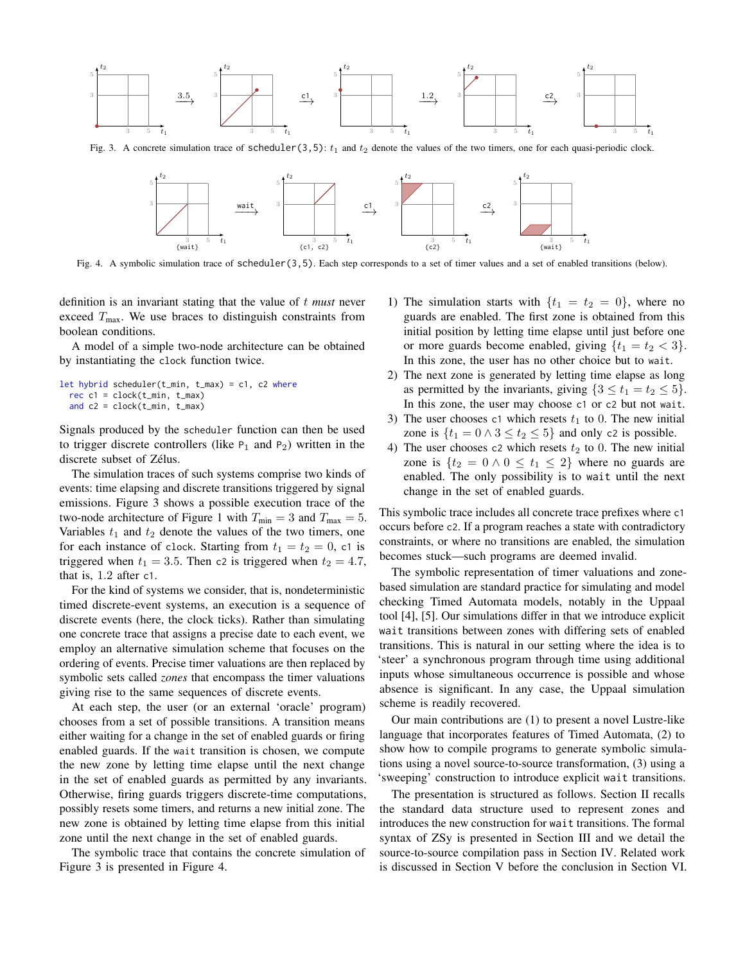

Fig. 3. A concrete simulation trace of scheduler(3,5):  $t_1$  and  $t_2$  denote the values of the two timers, one for each quasi-periodic clock.



Fig. 4. A symbolic simulation trace of scheduler(3,5). Each step corresponds to a set of timer values and a set of enabled transitions (below).

definition is an invariant stating that the value of t *must* never exceed  $T_{\text{max}}$ . We use braces to distinguish constraints from boolean conditions.

A model of a simple two-node architecture can be obtained by instantiating the clock function twice.

```
let hybrid scheduler(t_min, t_max) = c1, c2 where
 rec c1 = clock(t min, t max)and c2 = clock(t_{min}, t_{max})
```
Signals produced by the scheduler function can then be used to trigger discrete controllers (like  $P_1$  and  $P_2$ ) written in the discrete subset of Zélus.

The simulation traces of such systems comprise two kinds of events: time elapsing and discrete transitions triggered by signal emissions. Figure 3 shows a possible execution trace of the two-node architecture of Figure 1 with  $T_{\text{min}} = 3$  and  $T_{\text{max}} = 5$ . Variables  $t_1$  and  $t_2$  denote the values of the two timers, one for each instance of clock. Starting from  $t_1 = t_2 = 0$ , c1 is triggered when  $t_1 = 3.5$ . Then c2 is triggered when  $t_2 = 4.7$ , that is, 1.2 after c1.

For the kind of systems we consider, that is, nondeterministic timed discrete-event systems, an execution is a sequence of discrete events (here, the clock ticks). Rather than simulating one concrete trace that assigns a precise date to each event, we employ an alternative simulation scheme that focuses on the ordering of events. Precise timer valuations are then replaced by symbolic sets called *zones* that encompass the timer valuations giving rise to the same sequences of discrete events.

At each step, the user (or an external 'oracle' program) chooses from a set of possible transitions. A transition means either waiting for a change in the set of enabled guards or firing enabled guards. If the wait transition is chosen, we compute the new zone by letting time elapse until the next change in the set of enabled guards as permitted by any invariants. Otherwise, firing guards triggers discrete-time computations, possibly resets some timers, and returns a new initial zone. The new zone is obtained by letting time elapse from this initial zone until the next change in the set of enabled guards.

The symbolic trace that contains the concrete simulation of Figure 3 is presented in Figure 4.

- 1) The simulation starts with  $\{t_1 = t_2 = 0\}$ , where no guards are enabled. The first zone is obtained from this initial position by letting time elapse until just before one or more guards become enabled, giving  $\{t_1 = t_2 < 3\}.$ In this zone, the user has no other choice but to wait.
- 2) The next zone is generated by letting time elapse as long as permitted by the invariants, giving  $\{3 \le t_1 = t_2 \le 5\}.$ In this zone, the user may choose c1 or c2 but not wait.
- 3) The user chooses c1 which resets  $t_1$  to 0. The new initial zone is  $\{t_1 = 0 \land 3 \le t_2 \le 5\}$  and only c2 is possible.
- 4) The user chooses c2 which resets  $t_2$  to 0. The new initial zone is  $\{t_2 = 0 \wedge 0 \le t_1 \le 2\}$  where no guards are enabled. The only possibility is to wait until the next change in the set of enabled guards.

This symbolic trace includes all concrete trace prefixes where c1 occurs before c2. If a program reaches a state with contradictory constraints, or where no transitions are enabled, the simulation becomes stuck—such programs are deemed invalid.

The symbolic representation of timer valuations and zonebased simulation are standard practice for simulating and model checking Timed Automata models, notably in the Uppaal tool [4], [5]. Our simulations differ in that we introduce explicit wait transitions between zones with differing sets of enabled transitions. This is natural in our setting where the idea is to 'steer' a synchronous program through time using additional inputs whose simultaneous occurrence is possible and whose absence is significant. In any case, the Uppaal simulation scheme is readily recovered.

Our main contributions are (1) to present a novel Lustre-like language that incorporates features of Timed Automata, (2) to show how to compile programs to generate symbolic simulations using a novel source-to-source transformation, (3) using a 'sweeping' construction to introduce explicit wait transitions.

The presentation is structured as follows. Section II recalls the standard data structure used to represent zones and introduces the new construction for wait transitions. The formal syntax of ZSy is presented in Section III and we detail the source-to-source compilation pass in Section IV. Related work is discussed in Section V before the conclusion in Section VI.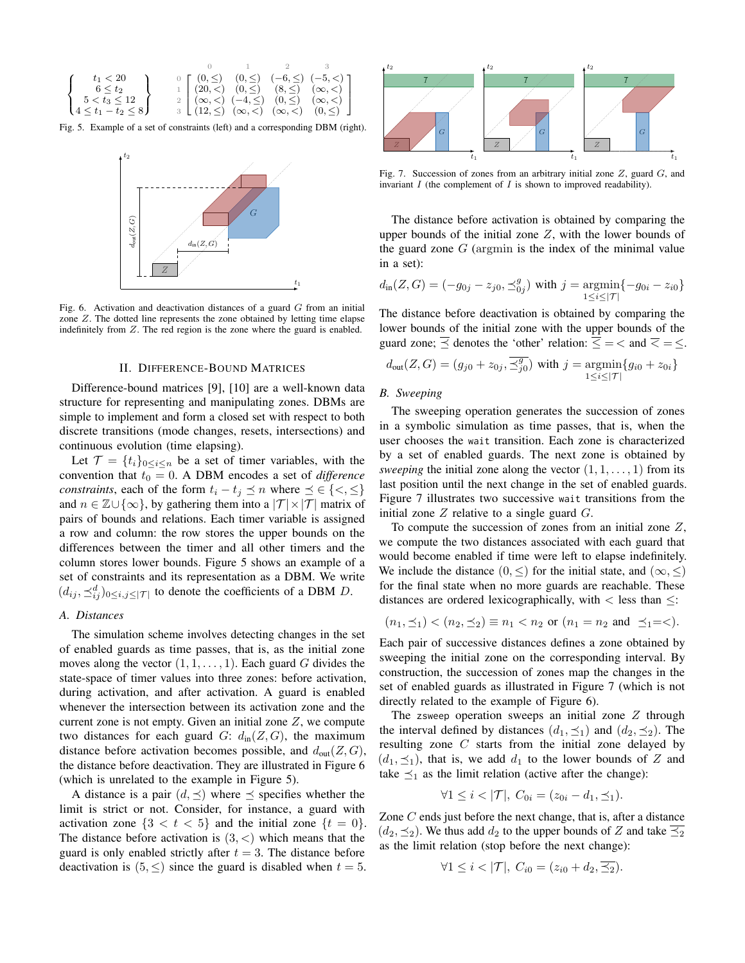$$
\begin{Bmatrix} t_1 < 20 \\ 6 \leq t_2 \\ 5 < t_3 \leq 12 \\ 4 \leq t_1 - t_2 \leq 8 \end{Bmatrix} \quad \begin{Bmatrix} 0 & 1 & 2 & 3 \\ 0, \leq) & (0, \leq) & (-6, \leq) & (-5, <) \\ 1 & (20, <) & (0, \leq) & (8, \leq) & (\infty, <) \\ 2 & (\infty, <) & (-4, \leq) & (0, \leq) & (\infty, <) \\ 12, \leq) & (\infty, <) & (\infty, <) & (0, \leq) \end{Bmatrix}
$$

Fig. 5. Example of a set of constraints (left) and a corresponding DBM (right).



Fig. 6. Activation and deactivation distances of a guard  $G$  from an initial zone Z. The dotted line represents the zone obtained by letting time elapse indefinitely from Z. The red region is the zone where the guard is enabled.

#### II. DIFFERENCE-BOUND MATRICES

Difference-bound matrices [9], [10] are a well-known data structure for representing and manipulating zones. DBMs are simple to implement and form a closed set with respect to both discrete transitions (mode changes, resets, intersections) and continuous evolution (time elapsing).

Let  $\mathcal{T} = \{t_i\}_{0 \leq i \leq n}$  be a set of timer variables, with the convention that  $t_0 = 0$ . A DBM encodes a set of *difference constraints*, each of the form  $t_i - t_j \preceq n$  where  $\preceq \in \{ \leq, \leq \}$ and  $n \in \mathbb{Z} \cup \{\infty\}$ , by gathering them into a  $|\mathcal{T}| \times |\mathcal{T}|$  matrix of pairs of bounds and relations. Each timer variable is assigned a row and column: the row stores the upper bounds on the differences between the timer and all other timers and the column stores lower bounds. Figure 5 shows an example of a set of constraints and its representation as a DBM. We write  $(d_{ij}, \preceq_{ij}^d)_{0 \le i,j \le |\mathcal{T}|}$  to denote the coefficients of a DBM D.

#### *A. Distances*

The simulation scheme involves detecting changes in the set of enabled guards as time passes, that is, as the initial zone moves along the vector  $(1, 1, \ldots, 1)$ . Each guard G divides the state-space of timer values into three zones: before activation, during activation, and after activation. A guard is enabled whenever the intersection between its activation zone and the current zone is not empty. Given an initial zone  $Z$ , we compute two distances for each guard  $G: d_{in}(Z, G)$ , the maximum distance before activation becomes possible, and  $d_{out}(Z, G)$ , the distance before deactivation. They are illustrated in Figure 6 (which is unrelated to the example in Figure 5).

A distance is a pair  $(d, \preceq)$  where  $\preceq$  specifies whether the limit is strict or not. Consider, for instance, a guard with activation zone  $\{3 < t < 5\}$  and the initial zone  $\{t = 0\}$ . The distance before activation is  $(3, <)$  which means that the guard is only enabled strictly after  $t = 3$ . The distance before deactivation is  $(5, \leq)$  since the guard is disabled when  $t = 5$ .

![](_page_3_Figure_10.jpeg)

Fig. 7. Succession of zones from an arbitrary initial zone  $Z$ , guard  $G$ , and invariant  $I$  (the complement of  $I$  is shown to improved readability).

The distance before activation is obtained by comparing the upper bounds of the initial zone  $Z$ , with the lower bounds of the guard zone  $G$  (argmin is the index of the minimal value in a set):

$$
d_{\text{in}}(Z, G) = (-g_{0j} - z_{j0}, \preceq_{0j}^{g}) \text{ with } j = \underset{1 \le i \le |\mathcal{T}|}{\text{argmin}} \{-g_{0i} - z_{i0}\}
$$

The distance before deactivation is obtained by comparing the lower bounds of the initial zone with the upper bounds of the guard zone;  $\overline{\le}$  denotes the 'other' relation:  $\overline{\le}$  = < and  $\overline{\le}$  =  $\le$ .

$$
d_{\text{out}}(Z, G) = (g_{j0} + z_{0j}, \overline{\preceq_{j0}^g}) \text{ with } j = \underset{1 \le i \le |\mathcal{T}|}{\text{argmin}} \{ g_{i0} + z_{0i} \}
$$

#### *B. Sweeping*

The sweeping operation generates the succession of zones in a symbolic simulation as time passes, that is, when the user chooses the wait transition. Each zone is characterized by a set of enabled guards. The next zone is obtained by *sweeping* the initial zone along the vector  $(1, 1, \ldots, 1)$  from its last position until the next change in the set of enabled guards. Figure 7 illustrates two successive wait transitions from the initial zone  $Z$  relative to a single guard  $G$ .

To compute the succession of zones from an initial zone  $Z$ , we compute the two distances associated with each guard that would become enabled if time were left to elapse indefinitely. We include the distance  $(0, \leq)$  for the initial state, and  $(\infty, \leq)$ for the final state when no more guards are reachable. These distances are ordered lexicographically, with  $\lt$  less than  $\leq$ :

$$
(n_1, \preceq_1) < (n_2, \preceq_2) \equiv n_1 < n_2
$$
 or  $(n_1 = n_2 \text{ and } \preceq_1 = <).$ 

Each pair of successive distances defines a zone obtained by sweeping the initial zone on the corresponding interval. By construction, the succession of zones map the changes in the set of enabled guards as illustrated in Figure 7 (which is not directly related to the example of Figure 6).

The zsweep operation sweeps an initial zone  $Z$  through the interval defined by distances  $(d_1, \preceq_1)$  and  $(d_2, \preceq_2)$ . The resulting zone  $C$  starts from the initial zone delayed by  $(d_1, \leq_1)$ , that is, we add  $d_1$  to the lower bounds of Z and take  $\preceq_1$  as the limit relation (active after the change):

$$
\forall 1 \leq i < |\mathcal{T}|, \ C_{0i} = (z_{0i} - d_1, \preceq_1).
$$

Zone  $C$  ends just before the next change, that is, after a distance  $(d_2, \preceq_2)$ . We thus add  $d_2$  to the upper bounds of Z and take  $\overline{\preceq_2}$ as the limit relation (stop before the next change):

$$
\forall 1 \leq i < |\mathcal{T}|, \ C_{i0} = (z_{i0} + d_2, \overline{\leq_2}).
$$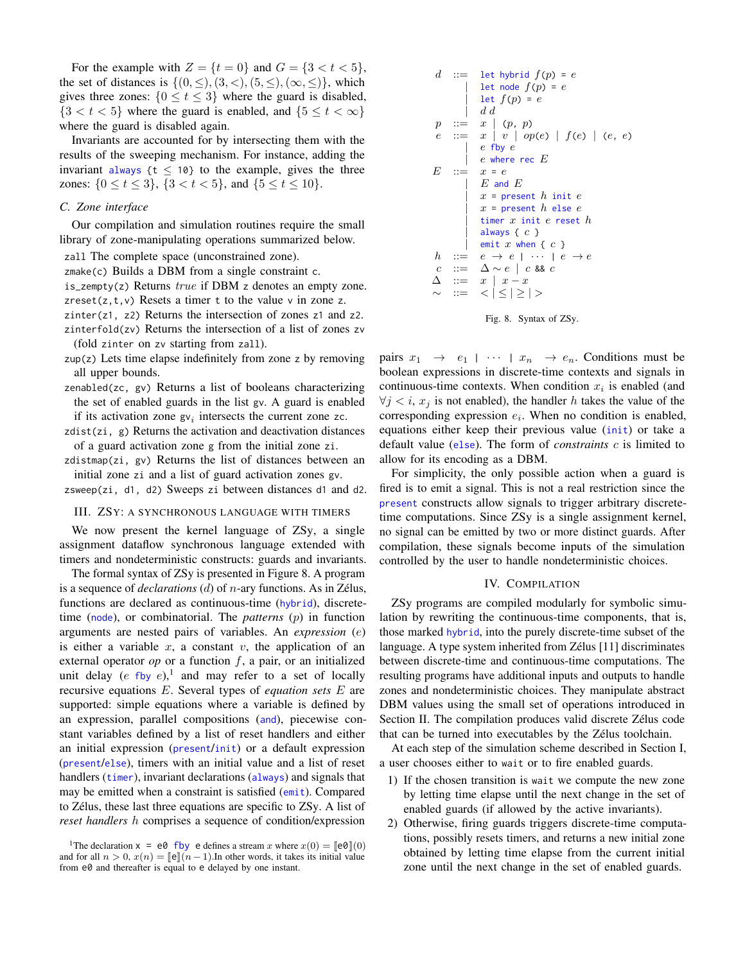For the example with  $Z = \{t = 0\}$  and  $G = \{3 < t < 5\}$ , the set of distances is  $\{(0, \leq), (3, <), (5, \leq), (\infty, \leq)\}\)$ , which gives three zones:  $\{0 \le t \le 3\}$  where the guard is disabled,  ${3 < t < 5}$  where the guard is enabled, and  ${5 \le t < \infty}$ where the guard is disabled again.

Invariants are accounted for by intersecting them with the results of the sweeping mechanism. For instance, adding the invariant always  $\{t \leq 10\}$  to the example, gives the three zones:  $\{0 \le t \le 3\}, \{3 < t < 5\}, \text{ and } \{5 \le t \le 10\}.$ 

#### *C. Zone interface*

Our compilation and simulation routines require the small library of zone-manipulating operations summarized below.

zall The complete space (unconstrained zone).

zmake(c) Builds a DBM from a single constraint c.

is\_zempty(z) Returns  $true$  if DBM z denotes an empty zone.

zreset( $z, t, v$ ) Resets a timer t to the value  $v$  in zone z.

- zinter(z1, z2) Returns the intersection of zones z1 and z2.
- zinterfold(zv) Returns the intersection of a list of zones zv (fold zinter on zv starting from zall).
- zup(z) Lets time elapse indefinitely from zone z by removing all upper bounds.
- zenabled(zc, gv) Returns a list of booleans characterizing the set of enabled guards in the list gv. A guard is enabled if its activation zone  $gv_i$  intersects the current zone zc.
- zdist(zi, g) Returns the activation and deactivation distances of a guard activation zone g from the initial zone zi.
- zdistmap(zi, gv) Returns the list of distances between an initial zone zi and a list of guard activation zones gv.

zsweep(zi, d1, d2) Sweeps zi between distances d1 and d2.

#### III. ZSY: A SYNCHRONOUS LANGUAGE WITH TIMERS

We now present the kernel language of ZSy, a single assignment dataflow synchronous language extended with timers and nondeterministic constructs: guards and invariants.

The formal syntax of ZSy is presented in Figure 8. A program is a sequence of *declarations* (d) of n-ary functions. As in Zélus, functions are declared as continuous-time (hybrid), discretetime (node), or combinatorial. The *patterns* (p) in function arguments are nested pairs of variables. An *expression* (e) is either a variable  $x$ , a constant  $v$ , the application of an external operator  $op$  or a function  $f$ , a pair, or an initialized unit delay  $(e \text{ fby } e)$ ,<sup>1</sup> and may refer to a set of locally recursive equations E. Several types of *equation sets* E are supported: simple equations where a variable is defined by an expression, parallel compositions (and), piecewise constant variables defined by a list of reset handlers and either an initial expression (present/init) or a default expression (present/else), timers with an initial value and a list of reset handlers (timer), invariant declarations (always) and signals that may be emitted when a constraint is satisfied (emit). Compared to Zélus, these last three equations are specific to ZSy. A list of *reset handlers* h comprises a sequence of condition/expression

$$
d \quad ::= \quad \text{let hybrid } f(p) = e
$$
\n
$$
= \quad \text{let node } f(p) = e
$$
\n
$$
= \quad \text{let } f(p) = e
$$
\n
$$
= \quad \text{let } f(p) = e
$$
\n
$$
= \quad \text{let } f(p) = e
$$
\n
$$
= \quad \text{let } f(p) = e
$$
\n
$$
= \quad \text{let } f(p) = e
$$
\n
$$
= \quad \text{let } f(p) = e
$$
\n
$$
= \quad \text{let } f(p) = e
$$
\n
$$
= \quad \text{let } f(p) = e
$$
\n
$$
= \quad \text{let } f(p) = e
$$
\n
$$
= \quad \text{let } f(p) = e
$$
\n
$$
= \quad \text{let } f(p) = e
$$
\n
$$
= \quad \text{let } f(p) = e
$$
\n
$$
= \quad \text{let } f(p) = e
$$
\n
$$
= \quad \text{if } f(p) = e
$$
\n
$$
= \quad \text{if } f(p) = e
$$
\n
$$
= \quad \text{if } f(p) = e
$$
\n
$$
= \quad \text{if } f(p) = e
$$
\n
$$
= \quad \text{if } f(p) = e
$$
\n
$$
= \quad \text{if } f(p) = e
$$
\n
$$
= \quad \text{if } f(p) = e
$$
\n
$$
= \quad \text{if } f(p) = e
$$
\n
$$
= \quad \text{if } f(p) = e
$$
\n
$$
= \quad \text{if } f(p) = e
$$
\n
$$
= \quad \text{if } f(p) = e
$$
\n
$$
= \quad \text{if } f(p) = e
$$
\n
$$
= \quad \text{if } f(p) = e
$$
\n
$$
= \quad \text{if } f(p) = e
$$
\n
$$
= \quad \text{if } f(p) = e
$$
\n
$$
= \quad \text{if } f(p) = e
$$
\n
$$
= \quad \text{if } f(p) = e
$$
\n
$$
= \quad \text{if } f(p) = e
$$
\n<

Fig. 8. Syntax of ZSy.

pairs  $x_1 \rightarrow e_1 \mid \cdots \mid x_n \rightarrow e_n$ . Conditions must be boolean expressions in discrete-time contexts and signals in continuous-time contexts. When condition  $x_i$  is enabled (and  $\forall j \leq i, x_j$  is not enabled), the handler h takes the value of the corresponding expression  $e_i$ . When no condition is enabled, equations either keep their previous value (init) or take a default value (else). The form of *constraints* c is limited to allow for its encoding as a DBM.

For simplicity, the only possible action when a guard is fired is to emit a signal. This is not a real restriction since the present constructs allow signals to trigger arbitrary discretetime computations. Since ZSy is a single assignment kernel, no signal can be emitted by two or more distinct guards. After compilation, these signals become inputs of the simulation controlled by the user to handle nondeterministic choices.

#### IV. COMPILATION

ZSy programs are compiled modularly for symbolic simulation by rewriting the continuous-time components, that is, those marked hybrid, into the purely discrete-time subset of the language. A type system inherited from Zélus [11] discriminates between discrete-time and continuous-time computations. The resulting programs have additional inputs and outputs to handle zones and nondeterministic choices. They manipulate abstract DBM values using the small set of operations introduced in Section II. The compilation produces valid discrete Zélus code that can be turned into executables by the Zélus toolchain.

At each step of the simulation scheme described in Section I, a user chooses either to wait or to fire enabled guards.

- 1) If the chosen transition is wait we compute the new zone by letting time elapse until the next change in the set of enabled guards (if allowed by the active invariants).
- 2) Otherwise, firing guards triggers discrete-time computations, possibly resets timers, and returns a new initial zone obtained by letting time elapse from the current initial zone until the next change in the set of enabled guards.

<sup>&</sup>lt;sup>1</sup>The declaration  $x = e0$  fby e defines a stream x where  $x(0) = [e0](0)$ and for all  $n > 0$ ,  $x(n) = ||e||(n-1)$ . In other words, it takes its initial value from e0 and thereafter is equal to e delayed by one instant.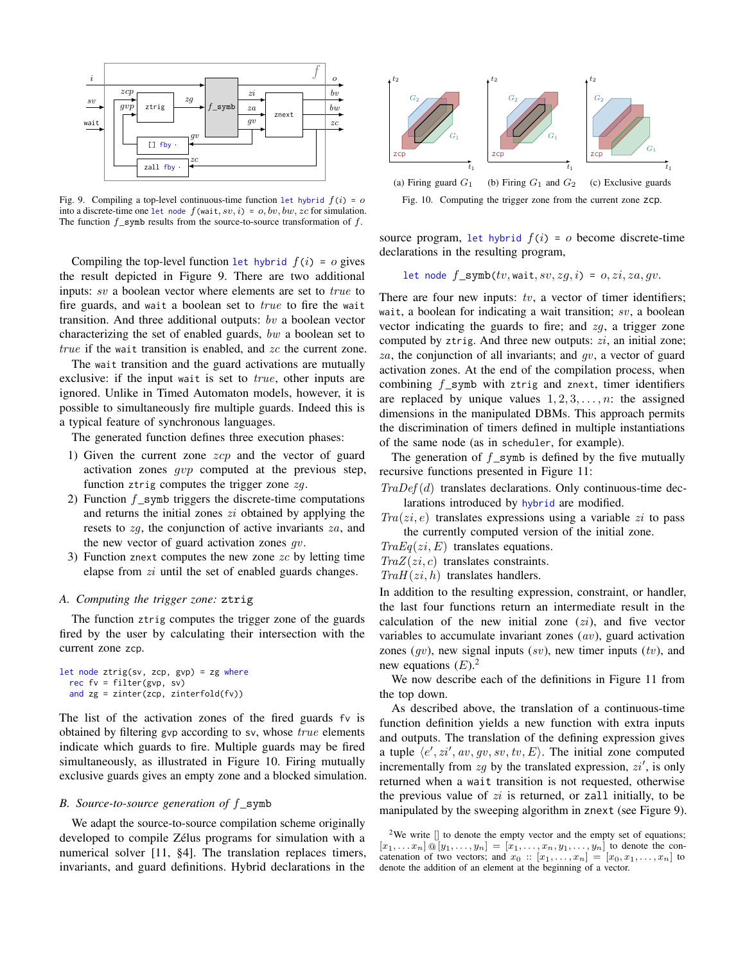![](_page_5_Figure_0.jpeg)

Fig. 9. Compiling a top-level continuous-time function let hybrid  $f(i) = o$ into a discrete-time one let node  $f(wait, sv, i) = o, bv, bw, zc$  for simulation. The function  $f$ \_symb results from the source-to-source transformation of  $f$ .

Compiling the top-level function let hybrid  $f(i) = o$  gives the result depicted in Figure 9. There are two additional inputs: sv a boolean vector where elements are set to *true* to fire guards, and wait a boolean set to *true* to fire the wait transition. And three additional outputs:  $bv$  a boolean vector characterizing the set of enabled guards, bw a boolean set to true if the wait transition is enabled, and  $zc$  the current zone.

The wait transition and the guard activations are mutually exclusive: if the input wait is set to *true*, other inputs are ignored. Unlike in Timed Automaton models, however, it is possible to simultaneously fire multiple guards. Indeed this is a typical feature of synchronous languages.

The generated function defines three execution phases:

- 1) Given the current zone zcp and the vector of guard activation zones *gvp* computed at the previous step, function ztrig computes the trigger zone  $zq$ .
- 2) Function  $f$  symb triggers the discrete-time computations and returns the initial zones zi obtained by applying the resets to zg, the conjunction of active invariants za, and the new vector of guard activation zones  $qv$ .
- 3) Function znext computes the new zone zc by letting time elapse from zi until the set of enabled guards changes.

#### *A. Computing the trigger zone:* ztrig

The function ztrig computes the trigger zone of the guards fired by the user by calculating their intersection with the current zone zcp.

let node ztrig(sv, zcp, gvp) = zg where rec fv = filter(gvp, sv) and  $zg = zinter(zcp, zinterfold(fv))$ 

The list of the activation zones of the fired guards fv is obtained by filtering gvp according to sv, whose *true* elements indicate which guards to fire. Multiple guards may be fired simultaneously, as illustrated in Figure 10. Firing mutually exclusive guards gives an empty zone and a blocked simulation.

#### *B. Source-to-source generation of* f*\_*symb

We adapt the source-to-source compilation scheme originally developed to compile Zélus programs for simulation with a numerical solver [11, §4]. The translation replaces timers, invariants, and guard definitions. Hybrid declarations in the

![](_page_5_Figure_14.jpeg)

Fig. 10. Computing the trigger zone from the current zone zcp.

source program, let hybrid  $f(i) = o$  become discrete-time declarations in the resulting program,

$$
\text{let node } f\_symb(tv, wait, sv, zg, i) = o, zi, za, gv.
$$

There are four new inputs: tv, a vector of timer identifiers; wait, a boolean for indicating a wait transition; sv, a boolean vector indicating the guards to fire; and  $zg$ , a trigger zone computed by ztrig. And three new outputs:  $zi$ , an initial zone; za, the conjunction of all invariants; and  $gv$ , a vector of guard activation zones. At the end of the compilation process, when combining  $f$  symb with ztrig and znext, timer identifiers are replaced by unique values  $1, 2, 3, \ldots, n$ : the assigned dimensions in the manipulated DBMs. This approach permits the discrimination of timers defined in multiple instantiations of the same node (as in scheduler, for example).

The generation of  $f$  symb is defined by the five mutually recursive functions presented in Figure 11:

 $TraDef(d)$  translates declarations. Only continuous-time declarations introduced by hybrid are modified.

 $Tra(zi, e)$  translates expressions using a variable  $zi$  to pass the currently computed version of the initial zone.

 $TraEq(zi, E)$  translates equations.  $TraZ(zi, c)$  translates constraints.

$$
TraH(zi, h)
$$
 translates handlers.

In addition to the resulting expression, constraint, or handler, the last four functions return an intermediate result in the calculation of the new initial zone  $(zi)$ , and five vector variables to accumulate invariant zones  $(av)$ , guard activation zones  $(qv)$ , new signal inputs  $(sv)$ , new timer inputs  $(tv)$ , and new equations  $(E)$ .<sup>2</sup>

We now describe each of the definitions in Figure 11 from the top down.

As described above, the translation of a continuous-time function definition yields a new function with extra inputs and outputs. The translation of the defining expression gives a tuple  $\langle e', zi', av, gv, sv, tv, E \rangle$ . The initial zone computed incrementally from  $zg$  by the translated expression,  $zi'$ , is only returned when a wait transition is not requested, otherwise the previous value of  $zi$  is returned, or zall initially, to be manipulated by the sweeping algorithm in znext (see Figure 9).

<sup>&</sup>lt;sup>2</sup>We write  $\parallel$  to denote the empty vector and the empty set of equations; [x1, . . . xn] @ [y1, . . . , yn] = [x1, . . . , xn, y1, . . . , yn] to denote the concatenation of two vectors; and  $x_0$ :  $[x_1, \ldots, x_n] = [x_0, x_1, \ldots, x_n]$  to denote the addition of an element at the beginning of a vector.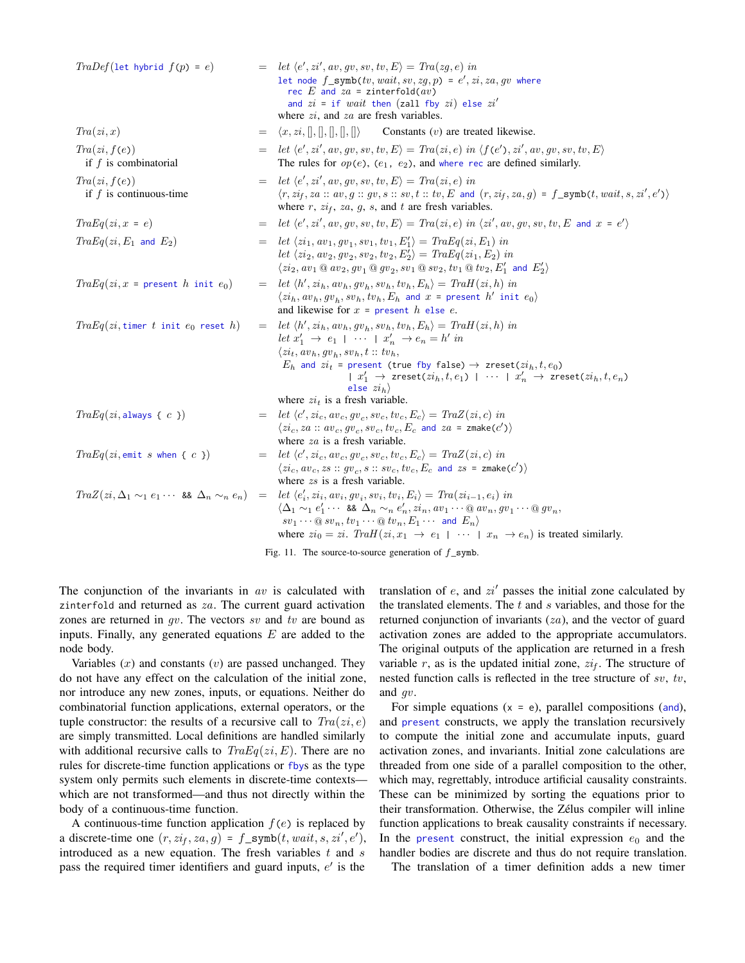TraDef (let hybrid f(p) = e) = let he 0 , zi<sup>0</sup> , av, gv, sv, tv, Ei = Tra(zg, e) in let node f\_symb(tv, wait, sv, zg, p) = e 0 , zi, za, gv where rec E and za = zinterfold(av) and zi = if wait then (zall fby zi) else zi<sup>0</sup> where zi, and za are fresh variables. Tra(zi, x) = hx, zi, [], [], [], [], []i Constants (v) are treated likewise. Tra(zi, f(e)) if f is combinatorial = let he 0 , zi<sup>0</sup> , av, gv, sv, tv, Ei = Tra(zi, e) in hf(e <sup>0</sup>), zi<sup>0</sup> , av, gv, sv, tv, Ei The rules for op(e), (e1, e2), and where rec are defined similarly. Tra(zi, f(e)) if f is continuous-time = let he 0 , zi<sup>0</sup> , av, gv, sv, tv, Ei = Tra(zi, e) in hr, zi<sup>f</sup> , za :: av, g :: gv, s :: sv, t :: tv, E and (r, zi<sup>f</sup> , za, g) = f\_symb(t, wait, s, zi<sup>0</sup> , e<sup>0</sup>)i where r, zi<sup>f</sup> , za, g, s, and t are fresh variables. TraEq(zi, x = e) = let he 0 , zi<sup>0</sup> , av, gv, sv, tv, Ei = Tra(zi, e) in hzi<sup>0</sup> , av, gv, sv, tv, E and x = e 0 i TraEq(zi, E<sup>1</sup> and E2) = let hzi <sup>1</sup>, av <sup>1</sup>, gv <sup>1</sup> , sv <sup>1</sup>, tv <sup>1</sup>, E<sup>0</sup> 1 i = TraEq(zi, E1) in let hzi <sup>2</sup>, av <sup>2</sup>, gv <sup>2</sup> , sv <sup>2</sup>, tv <sup>2</sup>, E<sup>0</sup> 2 i = TraEq(zi <sup>1</sup>, E2) in hzi <sup>2</sup>, av <sup>1</sup> @ av <sup>2</sup>, gv <sup>1</sup> @ gv <sup>2</sup> , sv <sup>1</sup> @ sv <sup>2</sup>, tv <sup>1</sup> @ tv <sup>2</sup>, E<sup>0</sup> <sup>1</sup> and E<sup>0</sup> 2 i TraEq(zi, x = present h init e0) = let hh 0 , zih, avh, gv<sup>h</sup> , svh, tvh, Ehi = TraH (zi, h) in hzih, avh, gv<sup>h</sup> , svh, tvh, E<sup>h</sup> and x = present h <sup>0</sup> init e0i and likewise for x = present h else e. TraEq(zi, timer t init e<sup>0</sup> reset h) = let hh 0 , zih, avh, gv<sup>h</sup> , svh, tvh, Ehi = TraH (zi, h) in let x 0 <sup>1</sup> → e<sup>1</sup> | · · · | x 0 <sup>n</sup> → e<sup>n</sup> = h 0 in hzi <sup>t</sup>, avh, gv<sup>h</sup> , svh, t :: tvh, E<sup>h</sup> and zi <sup>t</sup> = present (true fby false) → zreset(zih, t, e0) | x 0 <sup>1</sup> → zreset(zih, t, e1) | · · · | x 0 <sup>n</sup> → zreset(zih, t, en) else zihi where zi <sup>t</sup> is a fresh variable. TraEq(zi, always { c }) = let hc 0 , zi <sup>c</sup>, av <sup>c</sup>, gv <sup>c</sup> , sv <sup>c</sup>, tv <sup>c</sup>, Eci = TraZ(zi, c) in hzi <sup>c</sup>, za :: av <sup>c</sup>, gv <sup>c</sup> , sv <sup>c</sup>, tv <sup>c</sup>, E<sup>c</sup> and za = zmake(c <sup>0</sup>)i where za is a fresh variable. TraEq(zi, emit s when { c }) = let hc 0 , zi <sup>c</sup>, av <sup>c</sup>, gv <sup>c</sup> , sv <sup>c</sup>, tv <sup>c</sup>, Eci = TraZ(zi, c) in hzi <sup>c</sup>, av <sup>c</sup>, zs :: gv <sup>c</sup> , s :: sv <sup>c</sup>, tv <sup>c</sup>, E<sup>c</sup> and zs = zmake(c <sup>0</sup>)i where zs is a fresh variable. TraZ(zi, ∆<sup>1</sup> ∼<sup>1</sup> e<sup>1</sup> · · · && ∆<sup>n</sup> ∼<sup>n</sup> en) = let he 0 i , zi <sup>i</sup> , av<sup>i</sup> , gv<sup>i</sup> , sv<sup>i</sup> , tv<sup>i</sup> , Eii = Tra(zi <sup>i</sup>−1, ei) in h∆<sup>1</sup> ∼<sup>1</sup> e 0 1 · · · && ∆<sup>n</sup> ∼<sup>n</sup> e 0 n , zi <sup>n</sup>, av <sup>1</sup> · · · @ av <sup>n</sup>, gv <sup>1</sup> · · · @ gv <sup>n</sup>, sv <sup>1</sup> · · · @ sv <sup>n</sup>, tv <sup>1</sup> · · · @ tv <sup>n</sup>, E<sup>1</sup> · · · and Eni where zi <sup>0</sup> = zi. TraH (zi, x<sup>1</sup> → e<sup>1</sup> | · · · | x<sup>n</sup> → en) is treated similarly. Fig. 11. The source-to-source generation of f\_symb.

The conjunction of the invariants in  $av$  is calculated with zinterfold and returned as za. The current guard activation zones are returned in  $qv$ . The vectors sv and tv are bound as inputs. Finally, any generated equations  $E$  are added to the node body.

Variables  $(x)$  and constants  $(v)$  are passed unchanged. They do not have any effect on the calculation of the initial zone, nor introduce any new zones, inputs, or equations. Neither do combinatorial function applications, external operators, or the tuple constructor: the results of a recursive call to  $Tra(zi, e)$ are simply transmitted. Local definitions are handled similarly with additional recursive calls to  $TraEq(zi, E)$ . There are no rules for discrete-time function applications or fbys as the type system only permits such elements in discrete-time contexts which are not transformed—and thus not directly within the body of a continuous-time function.

A continuous-time function application  $f(e)$  is replaced by a discrete-time one  $(r, zif, za, g) = f$ \_symb $(t, wait, s, zi', e'),$ introduced as a new equation. The fresh variables  $t$  and  $s$ pass the required timer identifiers and guard inputs,  $e'$  is the

translation of  $e$ , and  $zi'$  passes the initial zone calculated by the translated elements. The  $t$  and  $s$  variables, and those for the returned conjunction of invariants (za), and the vector of guard activation zones are added to the appropriate accumulators. The original outputs of the application are returned in a fresh variable r, as is the updated initial zone,  $zi_f$ . The structure of nested function calls is reflected in the tree structure of sv, tv, and gv.

For simple equations  $(x = e)$ , parallel compositions (and), and present constructs, we apply the translation recursively to compute the initial zone and accumulate inputs, guard activation zones, and invariants. Initial zone calculations are threaded from one side of a parallel composition to the other, which may, regrettably, introduce artificial causality constraints. These can be minimized by sorting the equations prior to their transformation. Otherwise, the Zélus compiler will inline function applications to break causality constraints if necessary. In the present construct, the initial expression  $e_0$  and the handler bodies are discrete and thus do not require translation.

The translation of a timer definition adds a new timer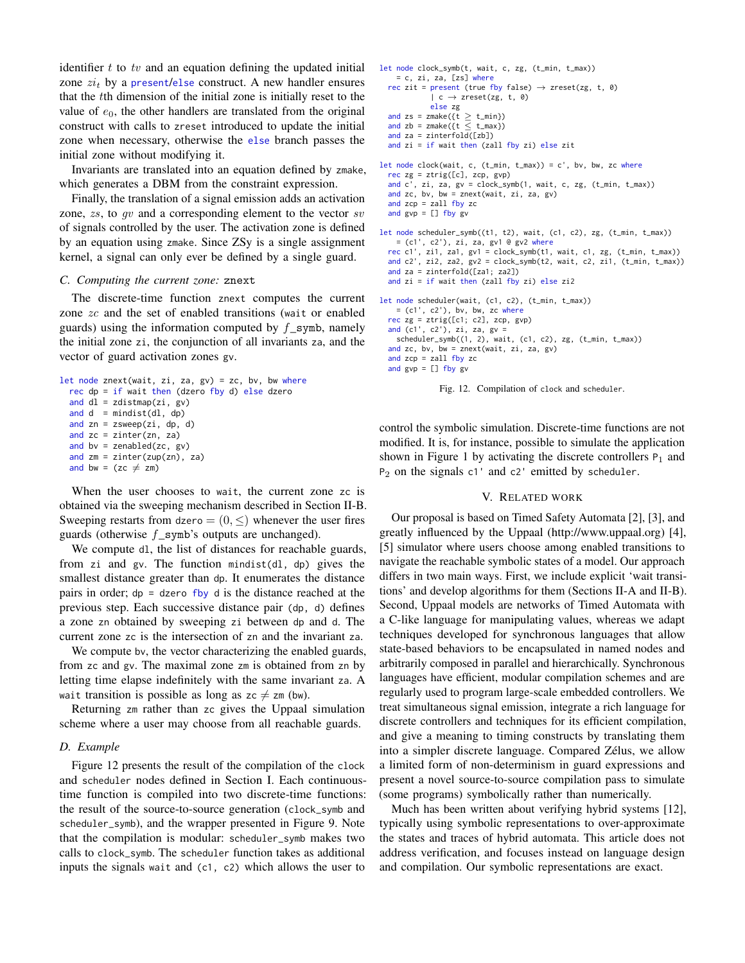identifier  $t$  to  $tv$  and an equation defining the updated initial zone  $zi_t$  by a present/else construct. A new handler ensures that the tth dimension of the initial zone is initially reset to the value of  $e_0$ , the other handlers are translated from the original construct with calls to zreset introduced to update the initial zone when necessary, otherwise the else branch passes the initial zone without modifying it.

Invariants are translated into an equation defined by zmake, which generates a DBM from the constraint expression.

Finally, the translation of a signal emission adds an activation zone,  $zs$ , to  $gv$  and a corresponding element to the vector  $sv$ of signals controlled by the user. The activation zone is defined by an equation using zmake. Since ZSy is a single assignment kernel, a signal can only ever be defined by a single guard.

#### *C. Computing the current zone:* znext

The discrete-time function znext computes the current zone zc and the set of enabled transitions (wait or enabled guards) using the information computed by  $f$ \_symb, namely the initial zone zi, the conjunction of all invariants za, and the vector of guard activation zones gv.

```
let node znext(wait, zi, za, gv) = zc, bv, bw where
  rec dp = if wait then (dzero fby d) else dzero
 and dl = zdistmap(zi, gv)
 and d = mindist(d1, dp)and zn = zsweep(zi, dp, d)
 and zc = zinter(zn, za)and bv = zenabled(zc, gy)
 and zm = zinter(zup(zn), za)
 and bw = (zc \neq zm)
```
When the user chooses to wait, the current zone zc is obtained via the sweeping mechanism described in Section II-B. Sweeping restarts from dzero =  $(0, \leq)$  whenever the user fires guards (otherwise  $f$ \_symb's outputs are unchanged).

We compute dl, the list of distances for reachable guards, from zi and gv. The function mindist(dl, dp) gives the smallest distance greater than dp. It enumerates the distance pairs in order;  $dp = dzero$  fby d is the distance reached at the previous step. Each successive distance pair (dp, d) defines a zone zn obtained by sweeping zi between dp and d. The current zone zc is the intersection of zn and the invariant za.

We compute by, the vector characterizing the enabled guards, from zc and gv. The maximal zone zm is obtained from zn by letting time elapse indefinitely with the same invariant za. A wait transition is possible as long as  $zc \neq zm$  (bw).

Returning zm rather than zc gives the Uppaal simulation scheme where a user may choose from all reachable guards.

#### *D. Example*

Figure 12 presents the result of the compilation of the clock and scheduler nodes defined in Section I. Each continuoustime function is compiled into two discrete-time functions: the result of the source-to-source generation (clock\_symb and scheduler\_symb), and the wrapper presented in Figure 9. Note that the compilation is modular: scheduler\_symb makes two calls to clock\_symb. The scheduler function takes as additional inputs the signals wait and (c1, c2) which allows the user to

```
let node clock_symb(t, wait, c, zg, (t_min, t_max))
   = c, zi, za, [zs] where
  rec zit = present (true fby false) \rightarrow zreset(zg, t, 0)
            | c \rightarrow zreset(zg, t, \theta)else zg
  and zs = zmake({t \geq t_min})<br>and zb = zmake({t \leq t_max})
  and za = zinterfold(Fzb])and zi = if wait then (zall fby zi) else zitlet node clock(wait, c, (t_mmin, t_mmax)) = c', bv, bw, zc where
  rec zg = ztrig([c], zcp, gvp)and c', zi, za, gv = clock_symb(1, wait, c, zg, (t_min, t_max))
  and zc, bv, bw = znext(wait, zi, za, gv)
  and zcp = zall fby zcand gvp = [] fby gvlet node scheduler_symb((t1, t2), wait, (c1, c2), zg, (t_min, t_max))
    = (c1', c2'), zi, za, gv1 @ gv2 where
  rec c1', zi1, za1, gv1 = clock_symb(t1, wait, c1, zg, (t_min, t_max))
  and c2', zi2, za2, gv2 = clock_symb(t2, wait, c2, zi1, (t_min, t_max))
  and za = zinterfold([za1; za2])
  and zi = if wait then (zall fby zi) else zi2
let node scheduler(wait, (c1, c2), (t_min, t_max))
    = (c1', c2'), bv, bw, zc where
  rec zg = ztrig([c1; c2], zcp, gvp)
  and (c1', c2'), zi, za, gv =
   scheduler_symb((1, 2), wait, (c1, c2), zg, (t_min, t_max))
  and zc, bv, bw = znext(wait, zi, za, gv)
  and zcp = zall fby zc
  and gvp = [] fby gv
```
![](_page_7_Figure_13.jpeg)

control the symbolic simulation. Discrete-time functions are not modified. It is, for instance, possible to simulate the application shown in Figure 1 by activating the discrete controllers  $P_1$  and  $P_2$  on the signals c1' and c2' emitted by scheduler.

#### V. RELATED WORK

Our proposal is based on Timed Safety Automata [2], [3], and greatly influenced by the Uppaal [\(http://www.uppaal.org\)](http://www.uppaal.org) [4], [5] simulator where users choose among enabled transitions to navigate the reachable symbolic states of a model. Our approach differs in two main ways. First, we include explicit 'wait transitions' and develop algorithms for them (Sections II-A and II-B). Second, Uppaal models are networks of Timed Automata with a C-like language for manipulating values, whereas we adapt techniques developed for synchronous languages that allow state-based behaviors to be encapsulated in named nodes and arbitrarily composed in parallel and hierarchically. Synchronous languages have efficient, modular compilation schemes and are regularly used to program large-scale embedded controllers. We treat simultaneous signal emission, integrate a rich language for discrete controllers and techniques for its efficient compilation, and give a meaning to timing constructs by translating them into a simpler discrete language. Compared Zélus, we allow a limited form of non-determinism in guard expressions and present a novel source-to-source compilation pass to simulate (some programs) symbolically rather than numerically.

Much has been written about verifying hybrid systems [12], typically using symbolic representations to over-approximate the states and traces of hybrid automata. This article does not address verification, and focuses instead on language design and compilation. Our symbolic representations are exact.